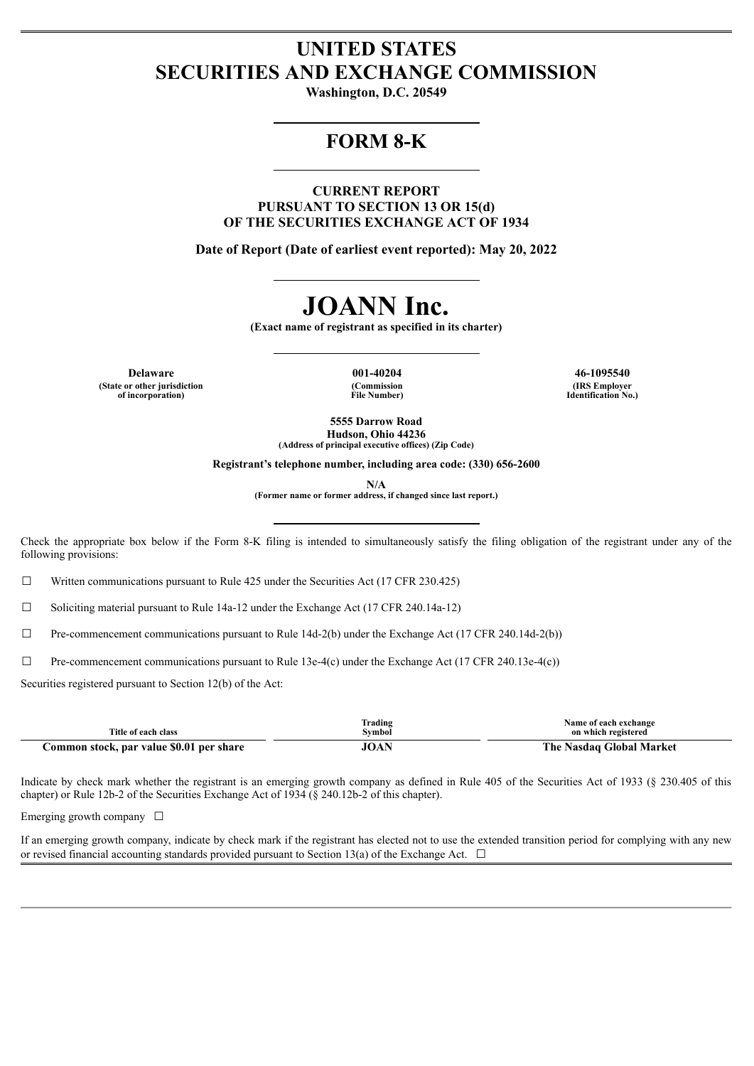# **UNITED STATES SECURITIES AND EXCHANGE COMMISSION**

**Washington, D.C. 20549**

# **FORM 8-K**

**CURRENT REPORT PURSUANT TO SECTION 13 OR 15(d) OF THE SECURITIES EXCHANGE ACT OF 1934**

**Date of Report (Date of earliest event reported): May 20, 2022**

# **JOANN Inc.**

**(Exact name of registrant as specified in its charter)**

**Delaware 001-40204 46-1095540 (State or other jurisdiction of incorporation)**

**(Commission File Number)**

**(IRS Employer Identification No.)**

**5555 Darrow Road Hudson, Ohio 44236 (Address of principal executive offices) (Zip Code)**

**Registrant's telephone number, including area code: (330) 656-2600**

**N/A**

**(Former name or former address, if changed since last report.)**

Check the appropriate box below if the Form 8-K filing is intended to simultaneously satisfy the filing obligation of the registrant under any of the following provisions:

 $\Box$  Written communications pursuant to Rule 425 under the Securities Act (17 CFR 230.425)

 $\Box$  Soliciting material pursuant to Rule 14a-12 under the Exchange Act (17 CFR 240.14a-12)

☐ Pre-commencement communications pursuant to Rule 14d-2(b) under the Exchange Act (17 CFR 240.14d-2(b))

 $\Box$  Pre-commencement communications pursuant to Rule 13e-4(c) under the Exchange Act (17 CFR 240.13e-4(c))

Securities registered pursuant to Section 12(b) of the Act:

| Title of each class                      | <b>Trading</b><br>Svmbol | Name of each exchange<br>on which registered |
|------------------------------------------|--------------------------|----------------------------------------------|
| Common stock, par value \$0.01 per share | 10 A N<br>IVAI           | Nasdag Global Market<br>. he                 |

Indicate by check mark whether the registrant is an emerging growth company as defined in Rule 405 of the Securities Act of 1933 (§ 230.405 of this chapter) or Rule 12b-2 of the Securities Exchange Act of 1934 (§ 240.12b-2 of this chapter).

Emerging growth company  $\Box$ 

If an emerging growth company, indicate by check mark if the registrant has elected not to use the extended transition period for complying with any new or revised financial accounting standards provided pursuant to Section 13(a) of the Exchange Act.  $\Box$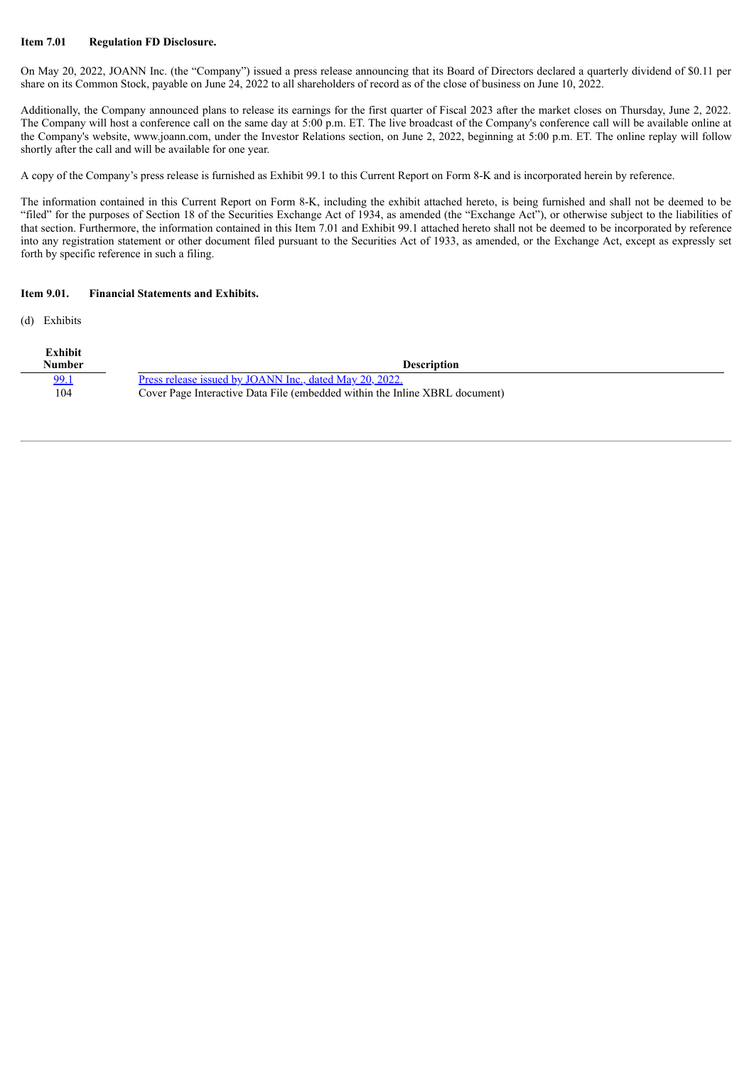## **Item 7.01 Regulation FD Disclosure.**

On May 20, 2022, JOANN Inc. (the "Company") issued a press release announcing that its Board of Directors declared a quarterly dividend of \$0.11 per share on its Common Stock, payable on June 24, 2022 to all shareholders of record as of the close of business on June 10, 2022.

Additionally, the Company announced plans to release its earnings for the first quarter of Fiscal 2023 after the market closes on Thursday, June 2, 2022. The Company will host a conference call on the same day at 5:00 p.m. ET. The live broadcast of the Company's conference call will be available online at the Company's website, www.joann.com, under the Investor Relations section, on June 2, 2022, beginning at 5:00 p.m. ET. The online replay will follow shortly after the call and will be available for one year.

A copy of the Company's press release is furnished as Exhibit 99.1 to this Current Report on Form 8-K and is incorporated herein by reference.

The information contained in this Current Report on Form 8-K, including the exhibit attached hereto, is being furnished and shall not be deemed to be "filed" for the purposes of Section 18 of the Securities Exchange Act of 1934, as amended (the "Exchange Act"), or otherwise subject to the liabilities of that section. Furthermore, the information contained in this Item 7.01 and Exhibit 99.1 attached hereto shall not be deemed to be incorporated by reference into any registration statement or other document filed pursuant to the Securities Act of 1933, as amended, or the Exchange Act, except as expressly set forth by specific reference in such a filing.

#### **Item 9.01. Financial Statements and Exhibits.**

(d) Exhibits

| Exhibit<br>Number | <b>Description</b>                                                          |
|-------------------|-----------------------------------------------------------------------------|
| 99.1              | Press release issued by JOANN Inc., dated May 20, 2022.                     |
| 104               | Cover Page Interactive Data File (embedded within the Inline XBRL document) |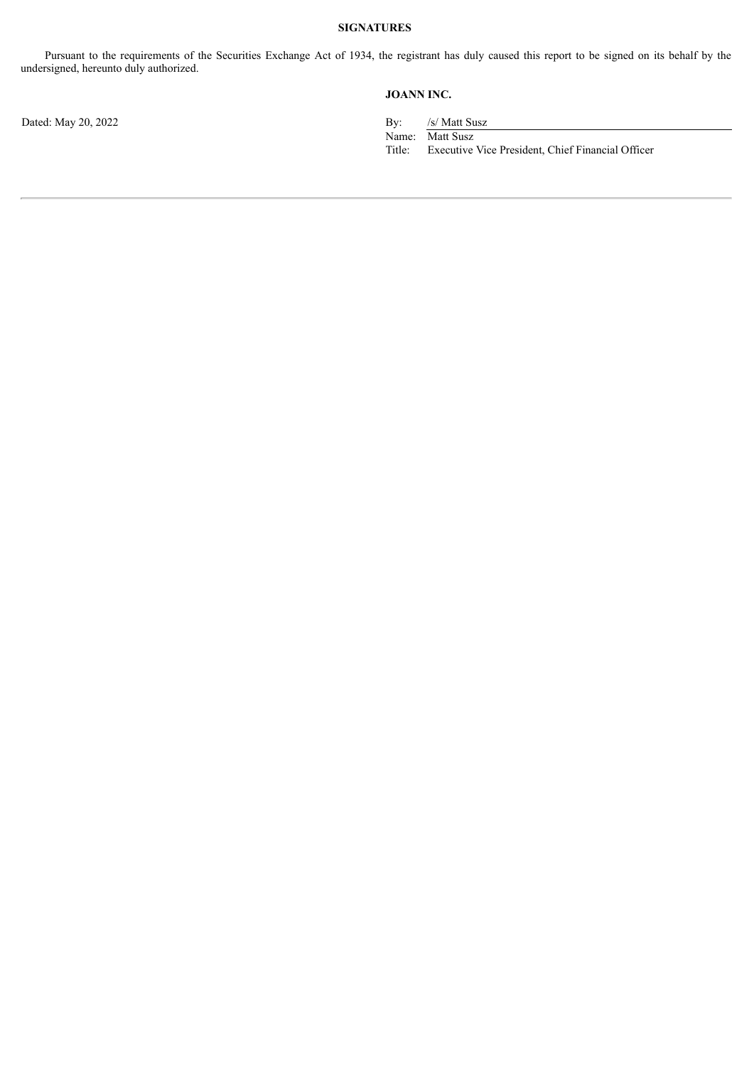Pursuant to the requirements of the Securities Exchange Act of 1934, the registrant has duly caused this report to be signed on its behalf by the undersigned, hereunto duly authorized.

# **JOANN INC.**

Name: Matt Susz<br>Title: Executive Executive Vice President, Chief Financial Officer

Dated: May 20, 2022 By: /s/ Matt Susz